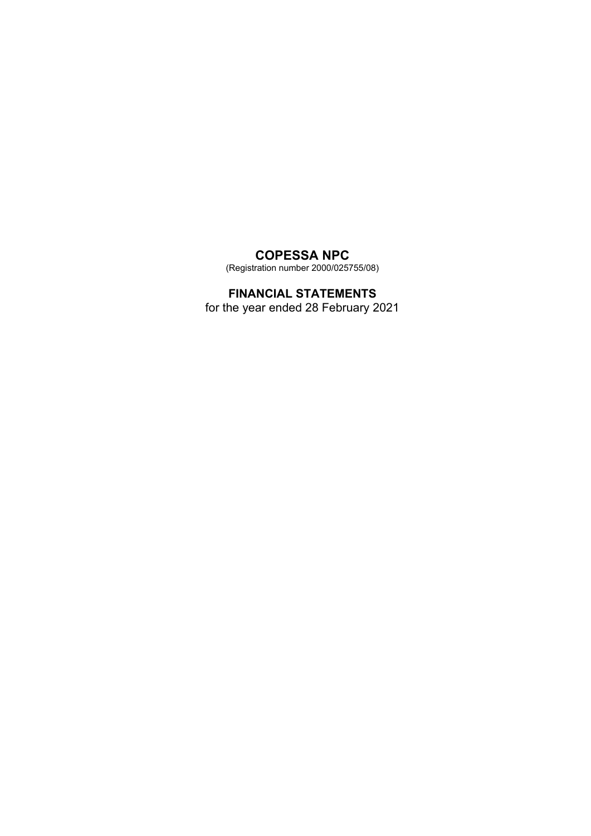(Registration number 2000/025755/08)

# **FINANCIAL STATEMENTS**

for the year ended 28 February 2021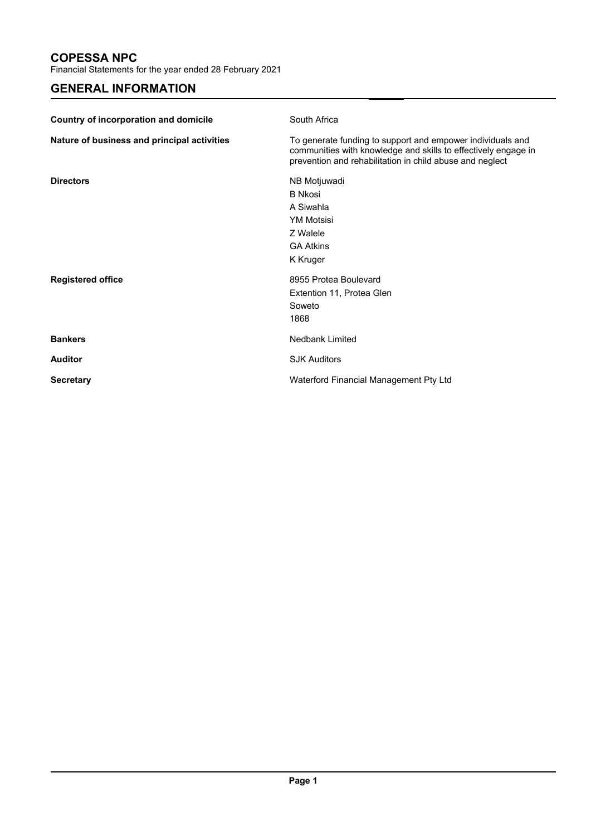Financial Statements for the year ended 28 February 2021

# **GENERAL INFORMATION**

| Country of incorporation and domicile       | South Africa                                                                                                                                                                             |
|---------------------------------------------|------------------------------------------------------------------------------------------------------------------------------------------------------------------------------------------|
| Nature of business and principal activities | To generate funding to support and empower individuals and<br>communities with knowledge and skills to effectively engage in<br>prevention and rehabilitation in child abuse and neglect |
| <b>Directors</b>                            | NB Motjuwadi<br><b>B</b> Nkosi<br>A Siwahla<br><b>YM Motsisi</b><br>Z Walele<br><b>GA Atkins</b><br>K Kruger                                                                             |
| <b>Registered office</b>                    | 8955 Protea Boulevard<br>Extention 11, Protea Glen<br>Soweto<br>1868                                                                                                                     |
| <b>Bankers</b>                              | Nedbank Limited                                                                                                                                                                          |
| <b>Auditor</b>                              | <b>SJK Auditors</b>                                                                                                                                                                      |
| <b>Secretary</b>                            | Waterford Financial Management Pty Ltd                                                                                                                                                   |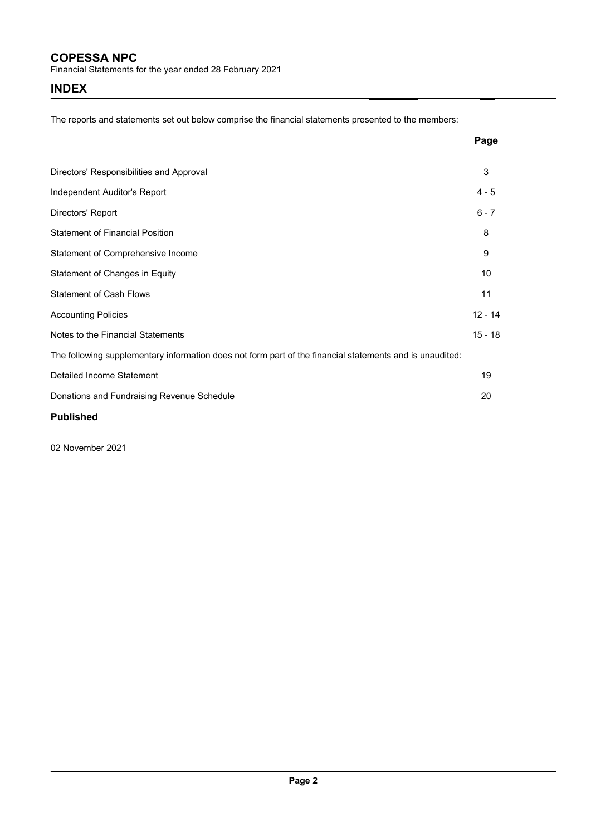Financial Statements for the year ended 28 February 2021

## **INDEX**

The reports and statements set out below comprise the financial statements presented to the members:

|                                                                                                          | Page      |
|----------------------------------------------------------------------------------------------------------|-----------|
| Directors' Responsibilities and Approval                                                                 | 3         |
| Independent Auditor's Report                                                                             | $4 - 5$   |
| Directors' Report                                                                                        | $6 - 7$   |
| <b>Statement of Financial Position</b>                                                                   | 8         |
| Statement of Comprehensive Income                                                                        | 9         |
| Statement of Changes in Equity                                                                           | 10        |
| <b>Statement of Cash Flows</b>                                                                           | 11        |
| <b>Accounting Policies</b>                                                                               | $12 - 14$ |
| Notes to the Financial Statements                                                                        | $15 - 18$ |
| The following supplementary information does not form part of the financial statements and is unaudited: |           |
| Detailed Income Statement                                                                                | 19        |
| Donations and Fundraising Revenue Schedule                                                               | 20        |
| <b>Published</b>                                                                                         |           |

02 November 2021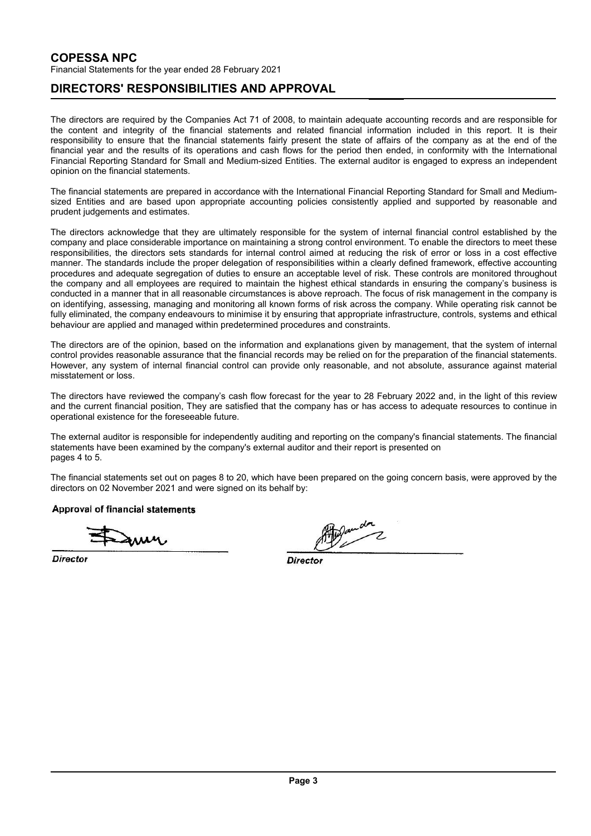### **COPESSA NPC** Financial Statements for the year ended 28 February 2021

# **DIRECTORS' RESPONSIBILITIES AND APPROVAL**

The directors are required by the Companies Act 71 of 2008, to maintain adequate accounting records and are responsible for the content and integrity of the financial statements and related financial information included in this report. It is their responsibility to ensure that the financial statements fairly present the state of affairs of the company as at the end of the financial year and the results of its operations and cash flows for the period then ended, in conformity with the International Financial Reporting Standard for Small and Medium-sized Entities. The external auditor is engaged to express an independent opinion on the financial statements.

The financial statements are prepared in accordance with the International Financial Reporting Standard for Small and Mediumsized Entities and are based upon appropriate accounting policies consistently applied and supported by reasonable and prudent judgements and estimates.

The directors acknowledge that they are ultimately responsible for the system of internal financial control established by the company and place considerable importance on maintaining a strong control environment. To enable the directors to meet these responsibilities, the directors sets standards for internal control aimed at reducing the risk of error or loss in a cost effective manner. The standards include the proper delegation of responsibilities within a clearly defined framework, effective accounting procedures and adequate segregation of duties to ensure an acceptable level of risk. These controls are monitored throughout the company and all employees are required to maintain the highest ethical standards in ensuring the company's business is conducted in a manner that in all reasonable circumstances is above reproach. The focus of risk management in the company is on identifying, assessing, managing and monitoring all known forms of risk across the company. While operating risk cannot be fully eliminated, the company endeavours to minimise it by ensuring that appropriate infrastructure, controls, systems and ethical behaviour are applied and managed within predetermined procedures and constraints.

The directors are of the opinion, based on the information and explanations given by management, that the system of internal control provides reasonable assurance that the financial records may be relied on for the preparation of the financial statements. However, any system of internal financial control can provide only reasonable, and not absolute, assurance against material misstatement or loss.

The directors have reviewed the company's cash flow forecast for the year to 28 February 2022 and, in the light of this review and the current financial position, They are satisfied that the company has or has access to adequate resources to continue in operational existence for the foreseeable future.

The external auditor is responsible for independently auditing and reporting on the company's financial statements. The financial statements have been examined by the company's external auditor and their report is presented on pages 4 to 5.

The financial statements set out on pages 8 to 20, which have been prepared on the going concern basis, were approved by the directors on 02 November 2021 and were signed on its behalf by:

**Approval of financial statements**

 $\sum_{\lambda}$ 

*Director Director*

All andre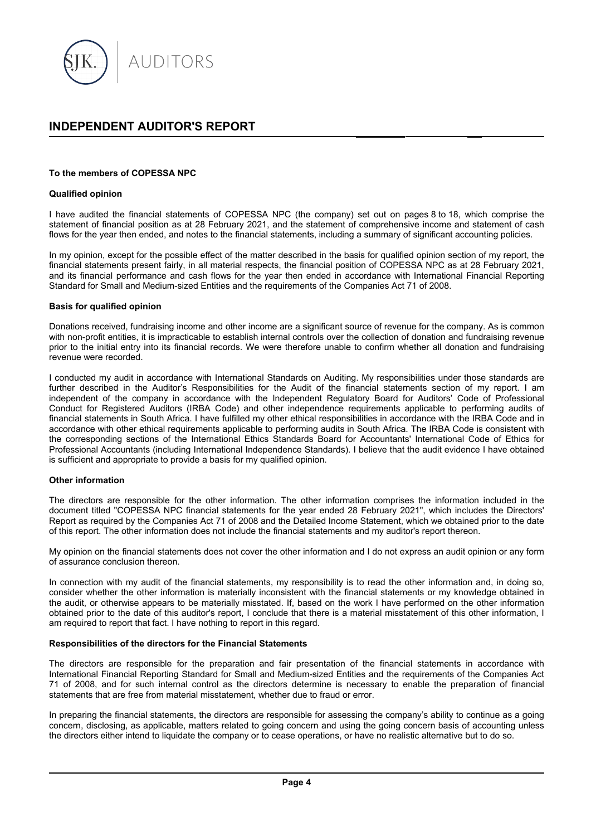

## **INDEPENDENT AUDITOR'S REPORT**

### **To the members of COPESSA NPC**

#### **Qualified opinion**

I have audited the financial statements of COPESSA NPC (the company) set out on pages 8 to 18, which comprise the statement of financial position as at 28 February 2021, and the statement of comprehensive income and statement of cash flows for the year then ended, and notes to the financial statements, including a summary of significant accounting policies.

In my opinion, except for the possible effect of the matter described in the basis for qualified opinion section of my report, the financial statements present fairly, in all material respects, the financial position of COPESSA NPC as at 28 February 2021, and its financial performance and cash flows for the year then ended in accordance with International Financial Reporting Standard for Small and Medium-sized Entities and the requirements of the Companies Act 71 of 2008.

### **Basis for qualified opinion**

Donations received, fundraising income and other income are a significant source of revenue for the company. As is common with non-profit entities, it is impracticable to establish internal controls over the collection of donation and fundraising revenue prior to the initial entry into its financial records. We were therefore unable to confirm whether all donation and fundraising revenue were recorded.

I conducted my audit in accordance with International Standards on Auditing. My responsibilities under those standards are further described in the Auditor's Responsibilities for the Audit of the financial statements section of my report. I am independent of the company in accordance with the Independent Regulatory Board for Auditors' Code of Professional Conduct for Registered Auditors (IRBA Code) and other independence requirements applicable to performing audits of financial statements in South Africa. I have fulfilled my other ethical responsibilities in accordance with the IRBA Code and in accordance with other ethical requirements applicable to performing audits in South Africa. The IRBA Code is consistent with the corresponding sections of the International Ethics Standards Board for Accountants' International Code of Ethics for Professional Accountants (including International Independence Standards). I believe that the audit evidence I have obtained is sufficient and appropriate to provide a basis for my qualified opinion.

### **Other information**

The directors are responsible for the other information. The other information comprises the information included in the document titled "COPESSA NPC financial statements for the year ended 28 February 2021", which includes the Directors' Report as required by the Companies Act 71 of 2008 and the Detailed Income Statement, which we obtained prior to the date of this report. The other information does not include the financial statements and my auditor's report thereon.

My opinion on the financial statements does not cover the other information and I do not express an audit opinion or any form of assurance conclusion thereon.

In connection with my audit of the financial statements, my responsibility is to read the other information and, in doing so, consider whether the other information is materially inconsistent with the financial statements or my knowledge obtained in the audit, or otherwise appears to be materially misstated. If, based on the work I have performed on the other information obtained prior to the date of this auditor's report, I conclude that there is a material misstatement of this other information, I am required to report that fact. I have nothing to report in this regard.

#### **Responsibilities of the directors for the Financial Statements**

The directors are responsible for the preparation and fair presentation of the financial statements in accordance with International Financial Reporting Standard for Small and Medium-sized Entities and the requirements of the Companies Act 71 of 2008, and for such internal control as the directors determine is necessary to enable the preparation of financial statements that are free from material misstatement, whether due to fraud or error.

In preparing the financial statements, the directors are responsible for assessing the company's ability to continue as a going concern, disclosing, as applicable, matters related to going concern and using the going concern basis of accounting unless the directors either intend to liquidate the company or to cease operations, or have no realistic alternative but to do so.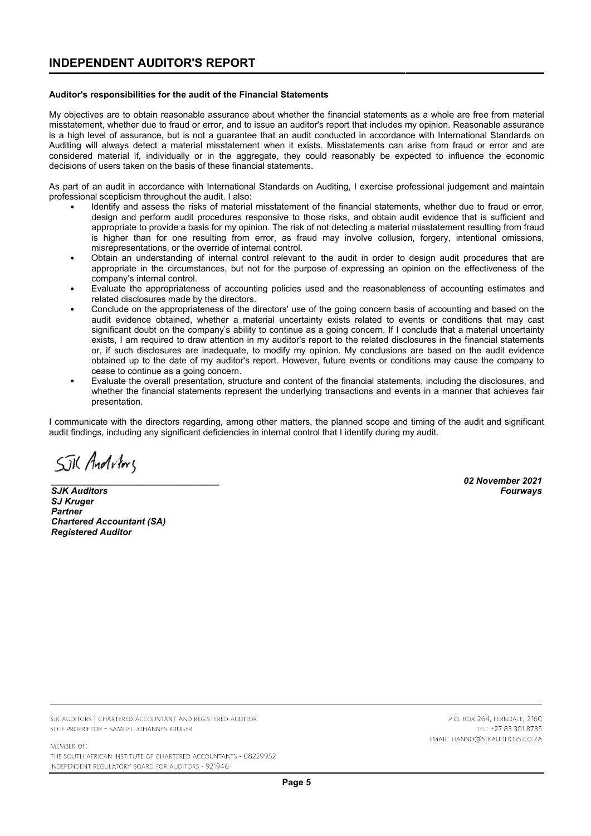### **Auditor's responsibilities for the audit of the Financial Statements**

My objectives are to obtain reasonable assurance about whether the financial statements as a whole are free from material misstatement, whether due to fraud or error, and to issue an auditor's report that includes my opinion. Reasonable assurance is a high level of assurance, but is not a guarantee that an audit conducted in accordance with International Standards on Auditing will always detect a material misstatement when it exists. Misstatements can arise from fraud or error and are considered material if, individually or in the aggregate, they could reasonably be expected to influence the economic decisions of users taken on the basis of these financial statements.

As part of an audit in accordance with International Standards on Auditing, I exercise professional judgement and maintain professional scepticism throughout the audit. I also:

- Identify and assess the risks of material misstatement of the financial statements, whether due to fraud or error, design and perform audit procedures responsive to those risks, and obtain audit evidence that is sufficient and appropriate to provide a basis for my opinion. The risk of not detecting a material misstatement resulting from fraud is higher than for one resulting from error, as fraud may involve collusion, forgery, intentional omissions, misrepresentations, or the override of internal control.
- Obtain an understanding of internal control relevant to the audit in order to design audit procedures that are appropriate in the circumstances, but not for the purpose of expressing an opinion on the effectiveness of the company's internal control.
- Evaluate the appropriateness of accounting policies used and the reasonableness of accounting estimates and related disclosures made by the directors.
- Conclude on the appropriateness of the directors' use of the going concern basis of accounting and based on the audit evidence obtained, whether a material uncertainty exists related to events or conditions that may cast significant doubt on the company's ability to continue as a going concern. If I conclude that a material uncertainty exists, I am required to draw attention in my auditor's report to the related disclosures in the financial statements or, if such disclosures are inadequate, to modify my opinion. My conclusions are based on the audit evidence obtained up to the date of my auditor's report. However, future events or conditions may cause the company to cease to continue as a going concern.
- Evaluate the overall presentation, structure and content of the financial statements, including the disclosures, and whether the financial statements represent the underlying transactions and events in a manner that achieves fair presentation.

I communicate with the directors regarding, among other matters, the planned scope and timing of the audit and significant audit findings, including any significant deficiencies in internal control that I identify during my audit.

SIK And views

*SJK Auditors SJ Kruger Partner Chartered Accountant (SA) Registered Auditor*

*\_\_\_\_\_\_\_\_\_\_\_\_\_\_\_\_\_\_\_\_\_\_\_\_\_\_\_\_\_\_\_\_\_\_*

*02 November 2021 Fourways*

SJK AUDITORS | CHARTERED ACCOUNTANT AND REGISTERED AUDITOR SOLE PROPRIETOR - SAMUEL JOHANNES KRUGER

MEMBER OF:

THE SOUTH AFRICAN INSTITUTE OF CHARTERED ACCOUNTANTS - 08229952 INDEPENDENT REGULATORY BOARD FOR AUDITORS - 921946

P.O. BOX 264, FERNDALE, 2160 TEL: +27 83 301 8785 EMAIL: HANNO@SJKAUDITORS.CO.ZA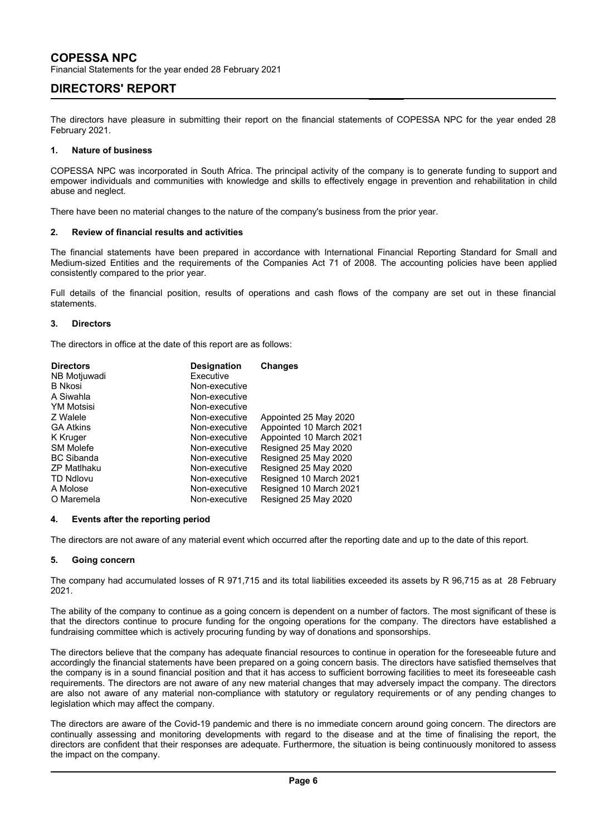Financial Statements for the year ended 28 February 2021

### **DIRECTORS' REPORT**

The directors have pleasure in submitting their report on the financial statements of COPESSA NPC for the year ended 28 February 2021.

#### **1. Nature of business**

COPESSA NPC was incorporated in South Africa. The principal activity of the company is to generate funding to support and empower individuals and communities with knowledge and skills to effectively engage in prevention and rehabilitation in child abuse and neglect.

There have been no material changes to the nature of the company's business from the prior year.

#### **2. Review of financial results and activities**

The financial statements have been prepared in accordance with International Financial Reporting Standard for Small and Medium-sized Entities and the requirements of the Companies Act 71 of 2008. The accounting policies have been applied consistently compared to the prior year.

Full details of the financial position, results of operations and cash flows of the company are set out in these financial statements.

#### **3. Directors**

The directors in office at the date of this report are as follows:

| <b>Directors</b>   | <b>Designation</b> | <b>Changes</b>          |
|--------------------|--------------------|-------------------------|
| NB Motjuwadi       | Executive          |                         |
| <b>B</b> Nkosi     | Non-executive      |                         |
| A Siwahla          | Non-executive      |                         |
| <b>YM Motsisi</b>  | Non-executive      |                         |
| Z Walele           | Non-executive      | Appointed 25 May 2020   |
| <b>GA Atkins</b>   | Non-executive      | Appointed 10 March 2021 |
| K Kruger           | Non-executive      | Appointed 10 March 2021 |
| <b>SM Molefe</b>   | Non-executive      | Resigned 25 May 2020    |
| <b>BC Sibanda</b>  | Non-executive      | Resigned 25 May 2020    |
| <b>ZP Matlhaku</b> | Non-executive      | Resigned 25 May 2020    |
| <b>TD Ndlovu</b>   | Non-executive      | Resigned 10 March 2021  |
| A Molose           | Non-executive      | Resigned 10 March 2021  |
| O Maremela         | Non-executive      | Resigned 25 May 2020    |

#### **4. Events after the reporting period**

The directors are not aware of any material event which occurred after the reporting date and up to the date of this report.

#### **5. Going concern**

The company had accumulated losses of R 971,715 and its total liabilities exceeded its assets by R 96,715 as at 28 February 2021.

The ability of the company to continue as a going concern is dependent on a number of factors. The most significant of these is that the directors continue to procure funding for the ongoing operations for the company. The directors have established a fundraising committee which is actively procuring funding by way of donations and sponsorships.

The directors believe that the company has adequate financial resources to continue in operation for the foreseeable future and accordingly the financial statements have been prepared on a going concern basis. The directors have satisfied themselves that the company is in a sound financial position and that it has access to sufficient borrowing facilities to meet its foreseeable cash requirements. The directors are not aware of any new material changes that may adversely impact the company. The directors are also not aware of any material non-compliance with statutory or regulatory requirements or of any pending changes to legislation which may affect the company.

The directors are aware of the Covid-19 pandemic and there is no immediate concern around going concern. The directors are continually assessing and monitoring developments with regard to the disease and at the time of finalising the report, the directors are confident that their responses are adequate. Furthermore, the situation is being continuously monitored to assess the impact on the company.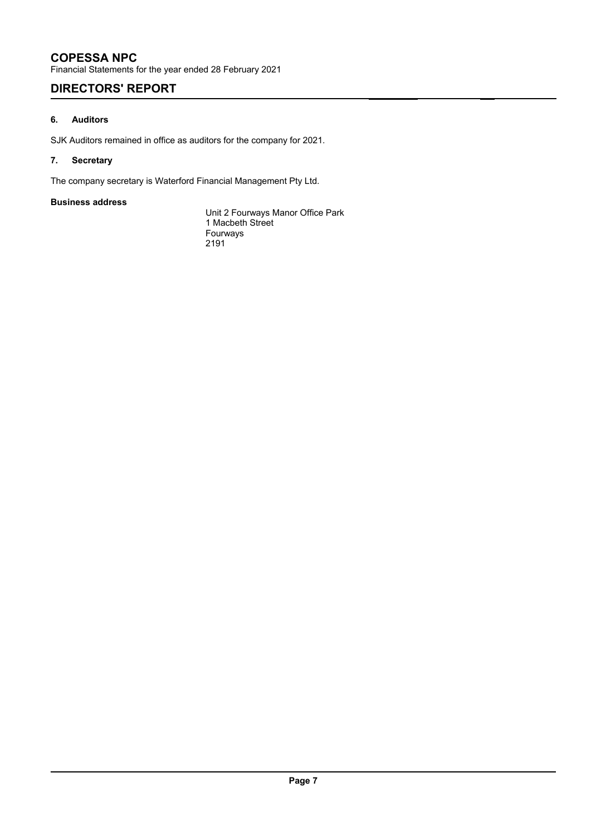Financial Statements for the year ended 28 February 2021

# **DIRECTORS' REPORT**

### **6. Auditors**

SJK Auditors remained in office as auditors for the company for 2021.

### **7. Secretary**

The company secretary is Waterford Financial Management Pty Ltd.

### **Business address**

Unit 2 Fourways Manor Office Park 1 Macbeth Street Fourways 2191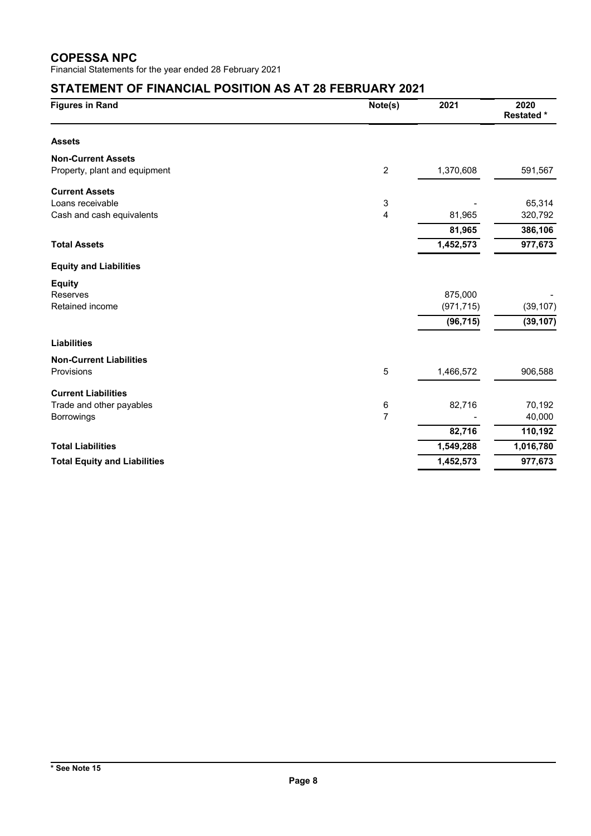Financial Statements for the year ended 28 February 2021

# **STATEMENT OF FINANCIAL POSITION AS AT 28 FEBRUARY 2021**

| <b>Figures in Rand</b>              | Note(s)                   | 2021       | 2020<br>Restated* |
|-------------------------------------|---------------------------|------------|-------------------|
| <b>Assets</b>                       |                           |            |                   |
| <b>Non-Current Assets</b>           |                           |            |                   |
| Property, plant and equipment       | $\overline{2}$            | 1,370,608  | 591,567           |
| <b>Current Assets</b>               |                           |            |                   |
| Loans receivable                    | $\ensuremath{\mathsf{3}}$ |            | 65,314            |
| Cash and cash equivalents           | 4                         | 81,965     | 320,792           |
|                                     |                           | 81,965     | 386,106           |
| <b>Total Assets</b>                 |                           | 1,452,573  | 977,673           |
| <b>Equity and Liabilities</b>       |                           |            |                   |
| <b>Equity</b>                       |                           |            |                   |
| <b>Reserves</b>                     |                           | 875,000    |                   |
| Retained income                     |                           | (971, 715) | (39, 107)         |
|                                     |                           | (96, 715)  | (39, 107)         |
| <b>Liabilities</b>                  |                           |            |                   |
| <b>Non-Current Liabilities</b>      |                           |            |                   |
| Provisions                          | $\sqrt{5}$                | 1,466,572  | 906,588           |
| <b>Current Liabilities</b>          |                           |            |                   |
| Trade and other payables            | 6                         | 82,716     | 70,192            |
| Borrowings                          | $\overline{7}$            |            | 40,000            |
|                                     |                           | 82,716     | 110,192           |
| <b>Total Liabilities</b>            |                           | 1,549,288  | 1,016,780         |
| <b>Total Equity and Liabilities</b> |                           | 1,452,573  | 977,673           |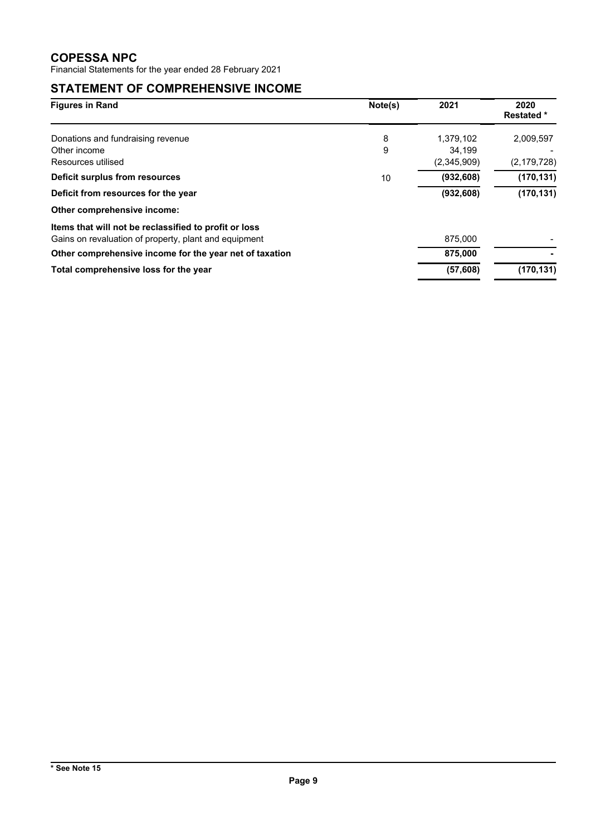Financial Statements for the year ended 28 February 2021

# **STATEMENT OF COMPREHENSIVE INCOME**

| <b>Figures in Rand</b>                                  | Note(s) | 2021        | 2020<br><b>Restated</b> * |
|---------------------------------------------------------|---------|-------------|---------------------------|
|                                                         |         |             |                           |
| Donations and fundraising revenue                       | 8       | 1,379,102   | 2,009,597                 |
| Other income                                            | 9       | 34,199      |                           |
| Resources utilised                                      |         | (2,345,909) | (2, 179, 728)             |
| Deficit surplus from resources                          | 10      | (932, 608)  | (170, 131)                |
| Deficit from resources for the year                     |         | (932, 608)  | (170, 131)                |
| Other comprehensive income:                             |         |             |                           |
| Items that will not be reclassified to profit or loss   |         |             |                           |
| Gains on revaluation of property, plant and equipment   |         | 875,000     |                           |
| Other comprehensive income for the year net of taxation |         | 875,000     |                           |
| Total comprehensive loss for the year                   |         | (57, 608)   | (170, 131)                |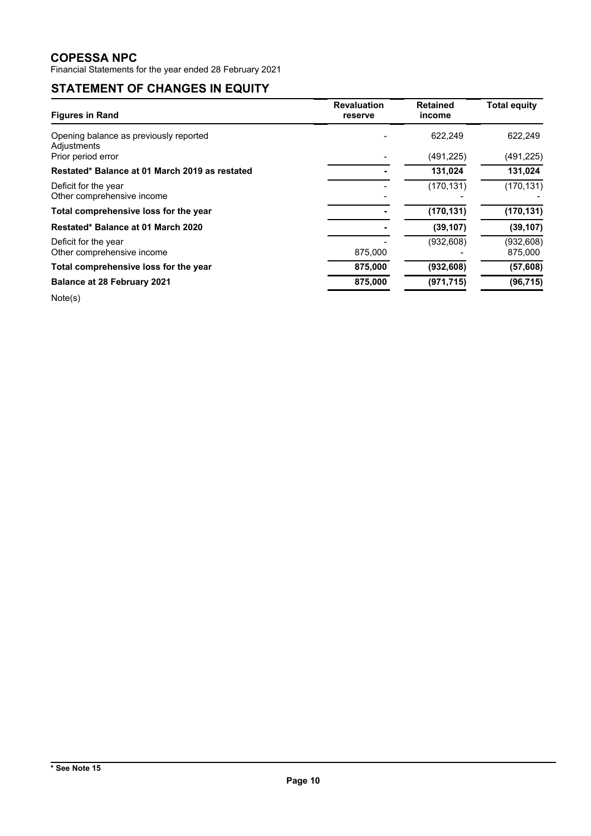Financial Statements for the year ended 28 February 2021

# **STATEMENT OF CHANGES IN EQUITY**

| <b>Figures in Rand</b>                                | <b>Revaluation</b><br>reserve | <b>Retained</b><br>income | <b>Total equity</b>   |  |
|-------------------------------------------------------|-------------------------------|---------------------------|-----------------------|--|
| Opening balance as previously reported<br>Adjustments |                               | 622,249                   | 622,249               |  |
| Prior period error                                    |                               | (491, 225)                | (491, 225)            |  |
| Restated* Balance at 01 March 2019 as restated        |                               | 131,024                   | 131,024               |  |
| Deficit for the year<br>Other comprehensive income    |                               | (170, 131)                | (170, 131)            |  |
| Total comprehensive loss for the year                 |                               | (170, 131)                | (170, 131)            |  |
| Restated* Balance at 01 March 2020                    |                               | (39, 107)                 | (39, 107)             |  |
| Deficit for the year<br>Other comprehensive income    | 875,000                       | (932, 608)                | (932, 608)<br>875,000 |  |
| Total comprehensive loss for the year                 | 875,000                       | (932, 608)                | (57, 608)             |  |
| <b>Balance at 28 February 2021</b>                    | 875,000                       | (971, 715)                | (96, 715)             |  |

Note(s)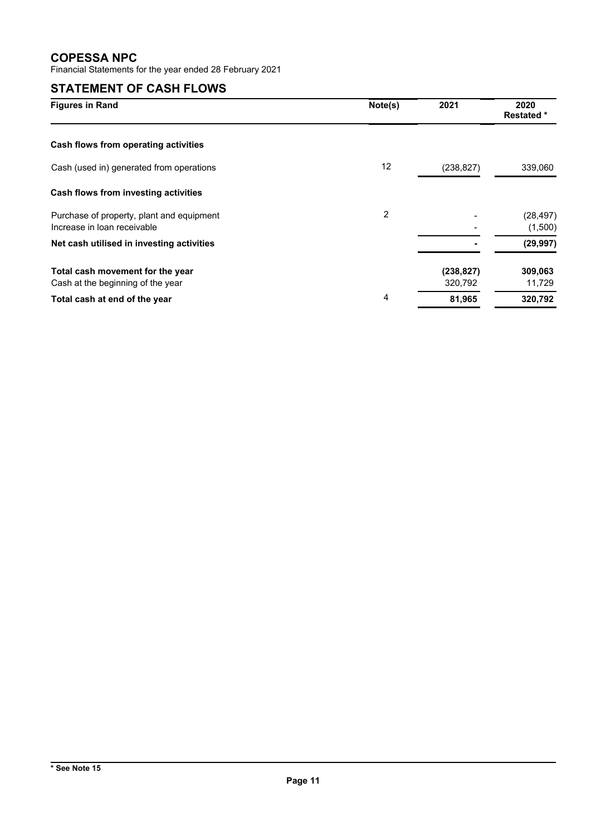Financial Statements for the year ended 28 February 2021

# **STATEMENT OF CASH FLOWS**

| <b>Figures in Rand</b>                                                   | Note(s) | 2021                  | 2020<br><b>Restated *</b> |
|--------------------------------------------------------------------------|---------|-----------------------|---------------------------|
| Cash flows from operating activities                                     |         |                       |                           |
| Cash (used in) generated from operations                                 | 12      | (238, 827)            | 339,060                   |
| Cash flows from investing activities                                     |         |                       |                           |
| Purchase of property, plant and equipment<br>Increase in loan receivable | 2       |                       | (28, 497)<br>(1,500)      |
| Net cash utilised in investing activities                                |         |                       | (29, 997)                 |
| Total cash movement for the year<br>Cash at the beginning of the year    |         | (238, 827)<br>320,792 | 309,063<br>11,729         |
| Total cash at end of the year                                            | 4       | 81,965                | 320,792                   |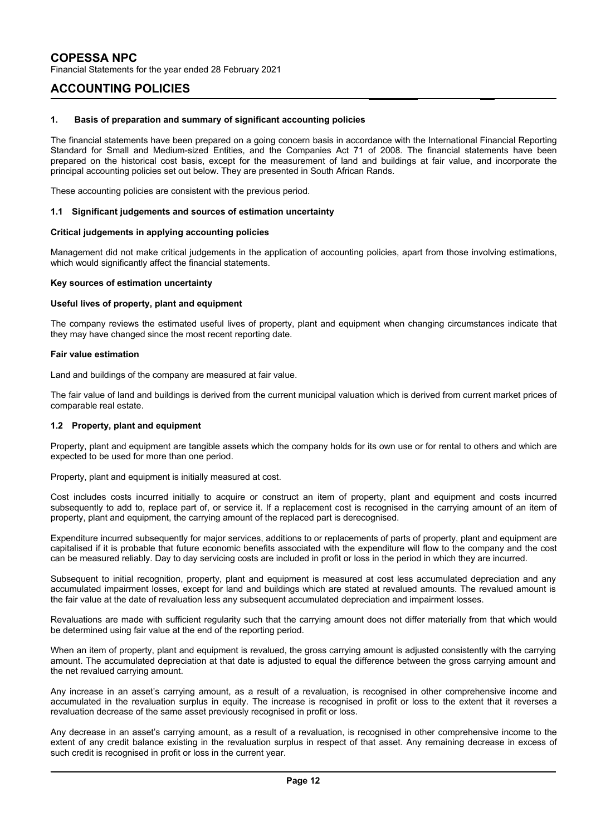Financial Statements for the year ended 28 February 2021

### **ACCOUNTING POLICIES**

#### **1. Basis of preparation and summary of significant accounting policies**

The financial statements have been prepared on a going concern basis in accordance with the International Financial Reporting Standard for Small and Medium-sized Entities, and the Companies Act 71 of 2008. The financial statements have been prepared on the historical cost basis, except for the measurement of land and buildings at fair value, and incorporate the principal accounting policies set out below. They are presented in South African Rands.

These accounting policies are consistent with the previous period.

#### **1.1 Significant judgements and sources of estimation uncertainty**

#### **Critical judgements in applying accounting policies**

Management did not make critical judgements in the application of accounting policies, apart from those involving estimations, which would significantly affect the financial statements.

#### **Key sources of estimation uncertainty**

#### **Useful lives of property, plant and equipment**

The company reviews the estimated useful lives of property, plant and equipment when changing circumstances indicate that they may have changed since the most recent reporting date.

#### **Fair value estimation**

Land and buildings of the company are measured at fair value.

The fair value of land and buildings is derived from the current municipal valuation which is derived from current market prices of comparable real estate.

#### **1.2 Property, plant and equipment**

Property, plant and equipment are tangible assets which the company holds for its own use or for rental to others and which are expected to be used for more than one period.

Property, plant and equipment is initially measured at cost.

Cost includes costs incurred initially to acquire or construct an item of property, plant and equipment and costs incurred subsequently to add to, replace part of, or service it. If a replacement cost is recognised in the carrying amount of an item of property, plant and equipment, the carrying amount of the replaced part is derecognised.

Expenditure incurred subsequently for major services, additions to or replacements of parts of property, plant and equipment are capitalised if it is probable that future economic benefits associated with the expenditure will flow to the company and the cost can be measured reliably. Day to day servicing costs are included in profit or loss in the period in which they are incurred.

Subsequent to initial recognition, property, plant and equipment is measured at cost less accumulated depreciation and any accumulated impairment losses, except for land and buildings which are stated at revalued amounts. The revalued amount is the fair value at the date of revaluation less any subsequent accumulated depreciation and impairment losses.

Revaluations are made with sufficient regularity such that the carrying amount does not differ materially from that which would be determined using fair value at the end of the reporting period.

When an item of property, plant and equipment is revalued, the gross carrying amount is adjusted consistently with the carrying amount. The accumulated depreciation at that date is adjusted to equal the difference between the gross carrying amount and the net revalued carrying amount.

Any increase in an asset's carrying amount, as a result of a revaluation, is recognised in other comprehensive income and accumulated in the revaluation surplus in equity. The increase is recognised in profit or loss to the extent that it reverses a revaluation decrease of the same asset previously recognised in profit or loss.

Any decrease in an asset's carrying amount, as a result of a revaluation, is recognised in other comprehensive income to the extent of any credit balance existing in the revaluation surplus in respect of that asset. Any remaining decrease in excess of such credit is recognised in profit or loss in the current year.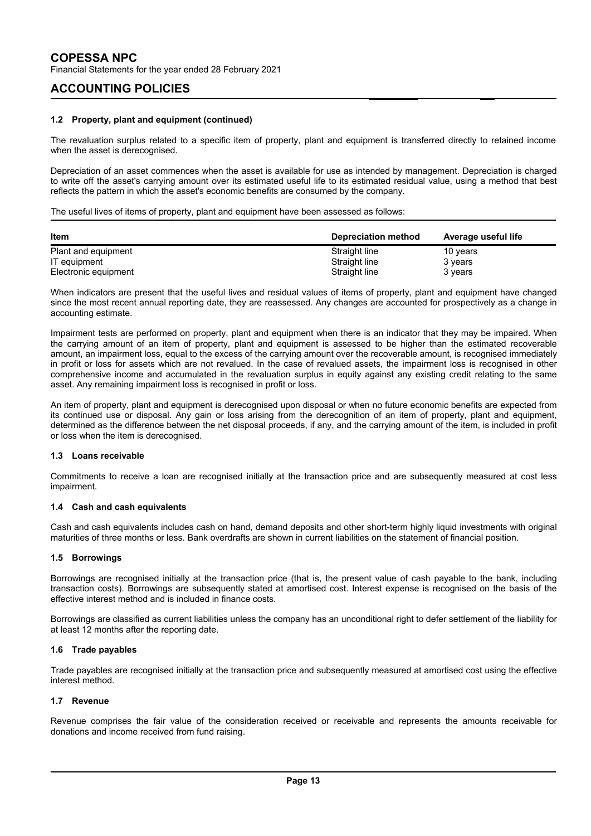## **ACCOUNTING POLICIES**

### **1.2 Property, plant and equipment (continued)**

The revaluation surplus related to a specific item of property, plant and equipment is transferred directly to retained income when the asset is derecognised.

Depreciation of an asset commences when the asset is available for use as intended by management. Depreciation is charged to write off the asset's carrying amount over its estimated useful life to its estimated residual value, using a method that best reflects the pattern in which the asset's economic benefits are consumed by the company.

The useful lives of items of property, plant and equipment have been assessed as follows:

| <b>Item</b>          | Depreciation method | Average useful life |
|----------------------|---------------------|---------------------|
| Plant and equipment  | Straight line       | 10 vears            |
| IT equipment         | Straight line       | 3 years             |
| Electronic equipment | Straight line       | 3 vears             |

When indicators are present that the useful lives and residual values of items of property, plant and equipment have changed since the most recent annual reporting date, they are reassessed. Any changes are accounted for prospectively as a change in accounting estimate.

Impairment tests are performed on property, plant and equipment when there is an indicator that they may be impaired. When the carrying amount of an item of property, plant and equipment is assessed to be higher than the estimated recoverable amount, an impairment loss, equal to the excess of the carrying amount over the recoverable amount, is recognised immediately in profit or loss for assets which are not revalued. In the case of revalued assets, the impairment loss is recognised in other comprehensive income and accumulated in the revaluation surplus in equity against any existing credit relating to the same asset. Any remaining impairment loss is recognised in profit or loss.

An item of property, plant and equipment is derecognised upon disposal or when no future economic benefits are expected from its continued use or disposal. Any gain or loss arising from the derecognition of an item of property, plant and equipment, determined as the difference between the net disposal proceeds, if any, and the carrying amount of the item, is included in profit or loss when the item is derecognised.

#### **1.3 Loans receivable**

Commitments to receive a loan are recognised initially at the transaction price and are subsequently measured at cost less impairment.

#### **1.4 Cash and cash equivalents**

Cash and cash equivalents includes cash on hand, demand deposits and other short-term highly liquid investments with original maturities of three months or less. Bank overdrafts are shown in current liabilities on the statement of financial position.

#### **1.5 Borrowings**

Borrowings are recognised initially at the transaction price (that is, the present value of cash payable to the bank, including transaction costs). Borrowings are subsequently stated at amortised cost. Interest expense is recognised on the basis of the effective interest method and is included in finance costs.

Borrowings are classified as current liabilities unless the company has an unconditional right to defer settlement of the liability for at least 12 months after the reporting date.

### **1.6 Trade payables**

Trade payables are recognised initially at the transaction price and subsequently measured at amortised cost using the effective interest method.

### **1.7 Revenue**

Revenue comprises the fair value of the consideration received or receivable and represents the amounts receivable for donations and income received from fund raising.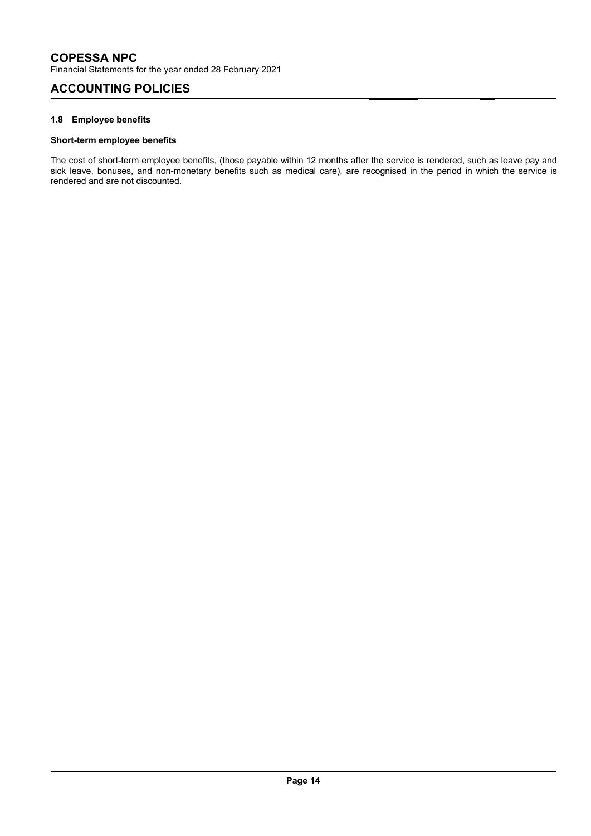Financial Statements for the year ended 28 February 2021

# **ACCOUNTING POLICIES**

### **1.8 Employee benefits**

### **Short-term employee benefits**

The cost of short-term employee benefits, (those payable within 12 months after the service is rendered, such as leave pay and sick leave, bonuses, and non-monetary benefits such as medical care), are recognised in the period in which the service is rendered and are not discounted.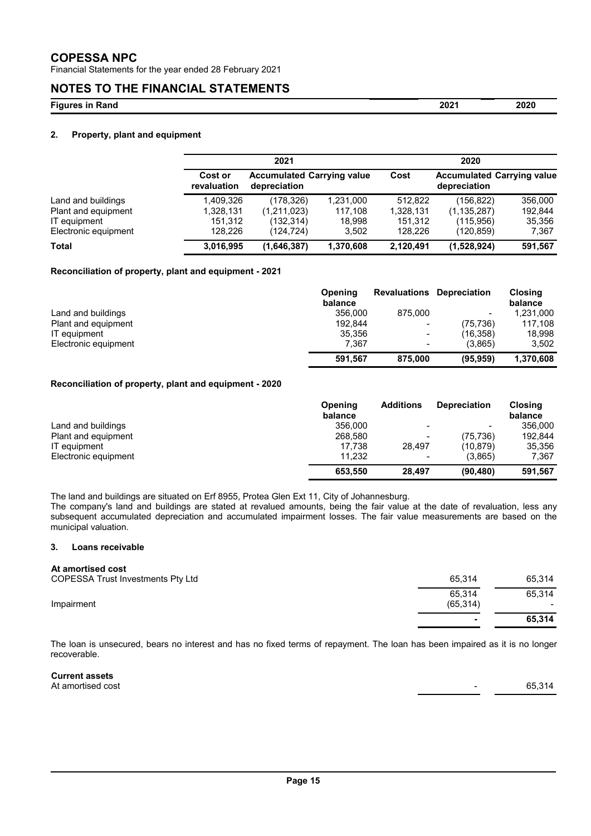Financial Statements for the year ended 28 February 2021

### **NOTES TO THE FINANCIAL STATEMENTS**

### **Figures in Rand 2021 2020**

### **2. Property, plant and equipment**

|                      |                               | 2021                                              |           | 2020      |               |                                   |
|----------------------|-------------------------------|---------------------------------------------------|-----------|-----------|---------------|-----------------------------------|
|                      | <b>Cost or</b><br>revaluation | <b>Accumulated Carrying value</b><br>depreciation |           | Cost      | depreciation  | <b>Accumulated Carrying value</b> |
| Land and buildings   | 1.409.326                     | (178,326)                                         | 1,231,000 | 512.822   | (156.822)     | 356,000                           |
| Plant and equipment  | 1,328,131                     | (1,211,023)                                       | 117.108   | 1,328,131 | (1, 135, 287) | 192,844                           |
| IT equipment         | 151.312                       | (132,314)                                         | 18.998    | 151,312   | (115, 956)    | 35,356                            |
| Electronic equipment | 128.226                       | (124,724)                                         | 3,502     | 128,226   | (120, 859)    | 7,367                             |
| <b>Total</b>         | 3,016,995                     | (1,646,387)                                       | 1,370,608 | 2,120,491 | (1,528,924)   | 591,567                           |

### **Reconciliation of property, plant and equipment - 2021**

|                      | Opening<br>balance | <b>Revaluations</b>      | <b>Depreciation</b> | <b>Closing</b><br>balance |
|----------------------|--------------------|--------------------------|---------------------|---------------------------|
| Land and buildings   | 356,000            | 875,000                  |                     | 1.231.000                 |
| Plant and equipment  | 192.844            | $\overline{\phantom{a}}$ | (75.736)            | 117.108                   |
| IT equipment         | 35,356             | $\overline{\phantom{a}}$ | (16,358)            | 18.998                    |
| Electronic equipment | 7.367              | $\overline{\phantom{a}}$ | (3.865)             | 3.502                     |
|                      | 591.567            | 875.000                  | (95, 959)           | 1,370,608                 |

### **Reconciliation of property, plant and equipment - 2020**

|                      | <b>Opening</b><br>balance | <b>Additions</b>         | <b>Depreciation</b> | <b>Closing</b><br>balance |
|----------------------|---------------------------|--------------------------|---------------------|---------------------------|
| Land and buildings   | 356,000                   | $\,$                     | -                   | 356,000                   |
| Plant and equipment  | 268.580                   | $\overline{\phantom{0}}$ | (75.736)            | 192.844                   |
| IT equipment         | 17.738                    | 28.497                   | (10.879)            | 35,356                    |
| Electronic equipment | 11.232                    | $\,$                     | (3.865)             | 7.367                     |
|                      | 653,550                   | 28,497                   | (90, 480)           | 591,567                   |

The land and buildings are situated on Erf 8955, Protea Glen Ext 11, City of Johannesburg.

The company's land and buildings are stated at revalued amounts, being the fair value at the date of revaluation, less any subsequent accumulated depreciation and accumulated impairment losses. The fair value measurements are based on the municipal valuation.

### **3. Loans receivable**

### **At amortised cost**

| 65.314                   | 65.314    |
|--------------------------|-----------|
| 65.314                   | 65.314    |
|                          | . .       |
| $\overline{\phantom{a}}$ | 65.314    |
|                          | (65, 314) |

The loan is unsecured, bears no interest and has no fixed terms of repayment. The loan has been impaired as it is no longer recoverable.

### **Current assets**

At amortised cost 65,314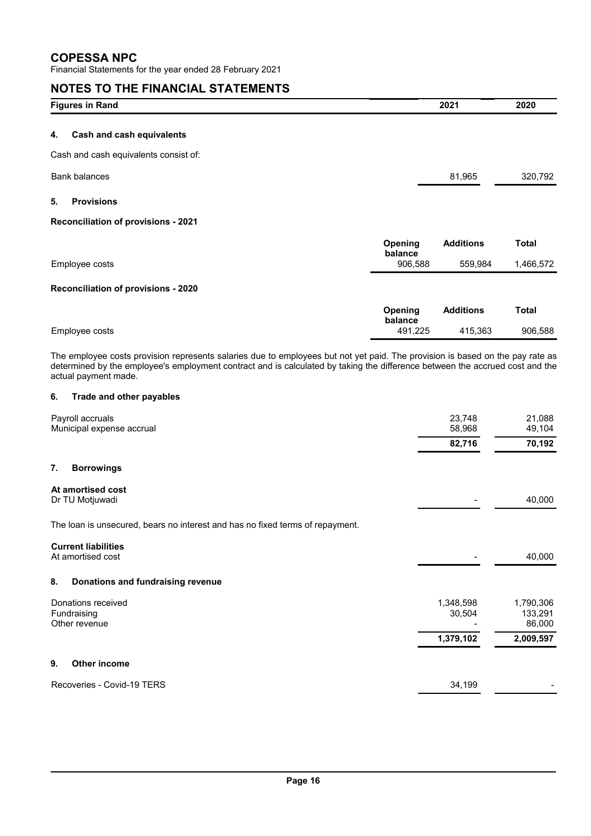Financial Statements for the year ended 28 February 2021

## **NOTES TO THE FINANCIAL STATEMENTS**

|    | <b>Figures in Rand</b>    | 2021 | 2020 |
|----|---------------------------|------|------|
| 4. | Cash and cash equivalents |      |      |

Cash and cash equivalents consist of:

| <b>Bank balances</b> | 81,965 | 320,792 |
|----------------------|--------|---------|
|                      |        |         |

### **5. Provisions**

### **Reconciliation of provisions - 2021**

|                                            | Opening<br>balance | <b>Additions</b> | Total     |
|--------------------------------------------|--------------------|------------------|-----------|
| Employee costs                             | 906.588            | 559.984          | 1.466.572 |
| <b>Reconciliation of provisions - 2020</b> |                    |                  |           |
|                                            | Opening<br>balance | <b>Additions</b> | Total     |
| Employee costs                             | 491.225            | 415.363          | 906.588   |

The employee costs provision represents salaries due to employees but not yet paid. The provision is based on the pay rate as determined by the employee's employment contract and is calculated by taking the difference between the accrued cost and the actual payment made.

### **6. Trade and other payables**

| Payroll accruals<br>Municipal expense accrual                                 | 23,748<br>58,968    | 21,088<br>49,104               |
|-------------------------------------------------------------------------------|---------------------|--------------------------------|
|                                                                               | 82,716              | 70,192                         |
| 7.<br><b>Borrowings</b>                                                       |                     |                                |
| At amortised cost<br>Dr TU Motjuwadi                                          |                     | 40,000                         |
| The loan is unsecured, bears no interest and has no fixed terms of repayment. |                     |                                |
| <b>Current liabilities</b><br>At amortised cost                               |                     | 40,000                         |
| 8.<br>Donations and fundraising revenue                                       |                     |                                |
| Donations received<br>Fundraising<br>Other revenue                            | 1,348,598<br>30,504 | 1,790,306<br>133,291<br>86,000 |
|                                                                               | 1,379,102           | 2,009,597                      |
| 9.<br>Other income                                                            |                     |                                |
| Recoveries - Covid-19 TERS                                                    | 34,199              |                                |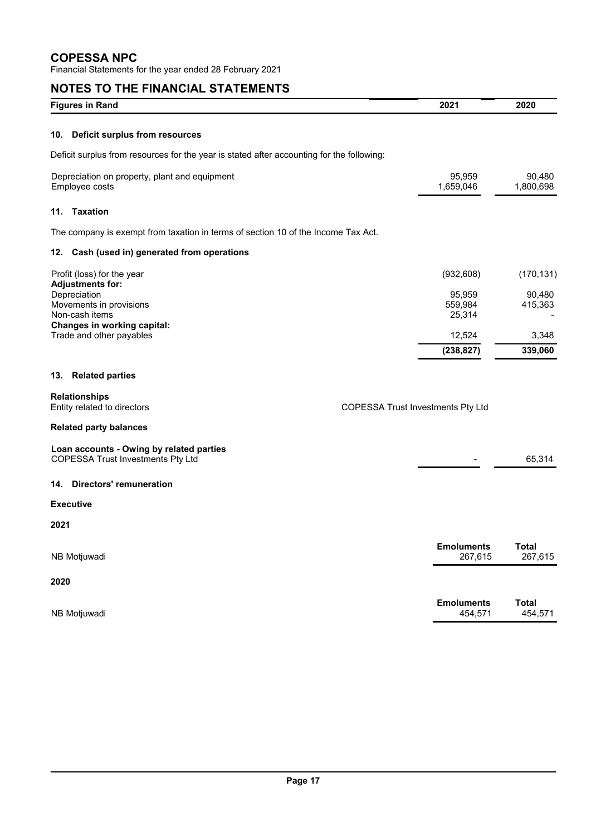Financial Statements for the year ended 28 February 2021

# **NOTES TO THE FINANCIAL STATEMENTS**

| <b>Figures in Rand</b>                                                                    | 2021                                     | 2020                    |
|-------------------------------------------------------------------------------------------|------------------------------------------|-------------------------|
| <b>Deficit surplus from resources</b><br>10.                                              |                                          |                         |
| Deficit surplus from resources for the year is stated after accounting for the following: |                                          |                         |
| Depreciation on property, plant and equipment<br>Employee costs                           | 95,959<br>1,659,046                      | 90,480<br>1,800,698     |
| 11. Taxation                                                                              |                                          |                         |
| The company is exempt from taxation in terms of section 10 of the Income Tax Act.         |                                          |                         |
| Cash (used in) generated from operations<br>12.                                           |                                          |                         |
| Profit (loss) for the year<br><b>Adjustments for:</b>                                     | (932, 608)                               | (170, 131)              |
| Depreciation<br>Movements in provisions<br>Non-cash items                                 | 95,959<br>559,984<br>25,314              | 90,480<br>415,363       |
| Changes in working capital:<br>Trade and other payables                                   | 12,524                                   | 3,348                   |
|                                                                                           | (238, 827)                               | 339,060                 |
| <b>Related parties</b><br>13.                                                             |                                          |                         |
| <b>Relationships</b><br>Entity related to directors                                       | <b>COPESSA Trust Investments Pty Ltd</b> |                         |
| <b>Related party balances</b>                                                             |                                          |                         |
| Loan accounts - Owing by related parties<br><b>COPESSA Trust Investments Pty Ltd</b>      |                                          | 65,314                  |
| <b>Directors' remuneration</b><br>14.                                                     |                                          |                         |
| <b>Executive</b>                                                                          |                                          |                         |
| 2021                                                                                      |                                          |                         |
| NB Motjuwadi                                                                              | <b>Emoluments</b><br>267,615             | <b>Total</b><br>267,615 |
| 2020                                                                                      |                                          |                         |
| NB Motjuwadi                                                                              | <b>Emoluments</b><br>454,571             | <b>Total</b><br>454,571 |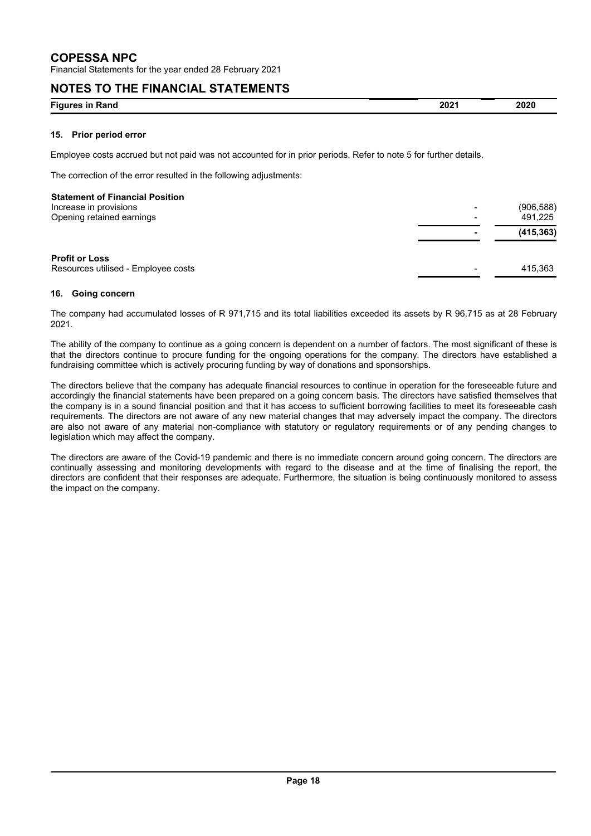Financial Statements for the year ended 28 February 2021

### **NOTES TO THE FINANCIAL STATEMENTS**

| $-$<br>rigurer<br>Rand<br>.<br>- | 2021 | 2020 |
|----------------------------------|------|------|
|                                  |      |      |

### **15. Prior period error**

Employee costs accrued but not paid was not accounted for in prior periods. Refer to note 5 for further details.

The correction of the error resulted in the following adjustments:

### **Statement of Financial Position**

| Increase in provisions              | $\blacksquare$           | (906, 588) |
|-------------------------------------|--------------------------|------------|
| Opening retained earnings           | $\blacksquare$           | 491,225    |
|                                     | $\blacksquare$           | (415, 363) |
| <b>Profit or Loss</b>               |                          |            |
| Resources utilised - Employee costs | $\overline{\phantom{a}}$ | 415,363    |

### **16. Going concern**

The company had accumulated losses of R 971,715 and its total liabilities exceeded its assets by R 96,715 as at 28 February 2021.

The ability of the company to continue as a going concern is dependent on a number of factors. The most significant of these is that the directors continue to procure funding for the ongoing operations for the company. The directors have established a fundraising committee which is actively procuring funding by way of donations and sponsorships.

The directors believe that the company has adequate financial resources to continue in operation for the foreseeable future and accordingly the financial statements have been prepared on a going concern basis. The directors have satisfied themselves that the company is in a sound financial position and that it has access to sufficient borrowing facilities to meet its foreseeable cash requirements. The directors are not aware of any new material changes that may adversely impact the company. The directors are also not aware of any material non-compliance with statutory or regulatory requirements or of any pending changes to legislation which may affect the company.

The directors are aware of the Covid-19 pandemic and there is no immediate concern around going concern. The directors are continually assessing and monitoring developments with regard to the disease and at the time of finalising the report, the directors are confident that their responses are adequate. Furthermore, the situation is being continuously monitored to assess the impact on the company.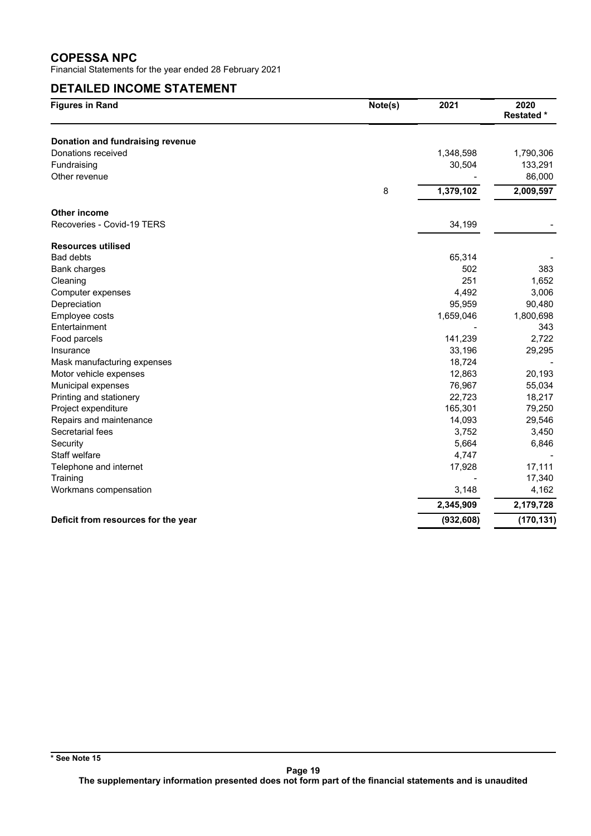Financial Statements for the year ended 28 February 2021

# **DETAILED INCOME STATEMENT**

| <b>Figures in Rand</b>              | Note(s) | 2021       | 2020<br>Restated * |
|-------------------------------------|---------|------------|--------------------|
| Donation and fundraising revenue    |         |            |                    |
| Donations received                  |         | 1,348,598  | 1,790,306          |
| Fundraising                         |         | 30,504     | 133,291            |
| Other revenue                       |         |            | 86,000             |
|                                     | 8       | 1,379,102  | 2,009,597          |
| Other income                        |         |            |                    |
|                                     |         |            |                    |
| Recoveries - Covid-19 TERS          |         | 34,199     |                    |
| <b>Resources utilised</b>           |         |            |                    |
| <b>Bad debts</b>                    |         | 65,314     |                    |
| Bank charges                        |         | 502        | 383                |
| Cleaning                            |         | 251        | 1,652              |
| Computer expenses                   |         | 4,492      | 3,006              |
| Depreciation                        |         | 95,959     | 90,480             |
| Employee costs                      |         | 1,659,046  | 1,800,698          |
| Entertainment                       |         |            | 343                |
| Food parcels                        |         | 141,239    | 2,722              |
| Insurance                           |         | 33,196     | 29,295             |
| Mask manufacturing expenses         |         | 18,724     |                    |
| Motor vehicle expenses              |         | 12,863     | 20,193             |
| Municipal expenses                  |         | 76,967     | 55,034             |
| Printing and stationery             |         | 22,723     | 18,217             |
| Project expenditure                 |         | 165,301    | 79,250             |
| Repairs and maintenance             |         | 14,093     | 29,546             |
| Secretarial fees                    |         | 3,752      | 3,450              |
| Security                            |         | 5,664      | 6,846              |
| Staff welfare                       |         | 4,747      |                    |
| Telephone and internet              |         | 17,928     | 17,111             |
| Training                            |         |            | 17,340             |
| Workmans compensation               |         | 3,148      | 4,162              |
|                                     |         | 2,345,909  | 2,179,728          |
| Deficit from resources for the year |         | (932, 608) | (170, 131)         |

**\* See Note 15**